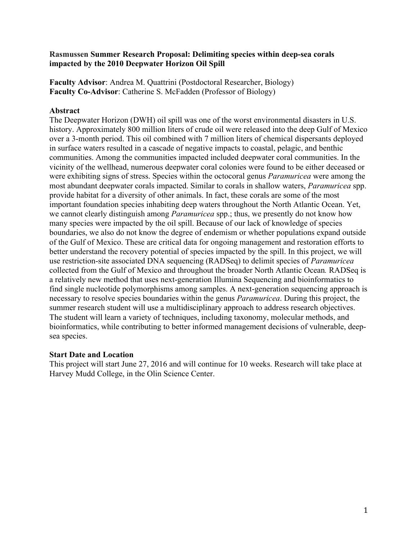## **Rasmussen Summer Research Proposal: Delimiting species within deep-sea corals impacted by the 2010 Deepwater Horizon Oil Spill**

**Faculty Advisor**: Andrea M. Quattrini (Postdoctoral Researcher, Biology) **Faculty Co-Advisor**: Catherine S. McFadden (Professor of Biology)

## **Abstract**

The Deepwater Horizon (DWH) oil spill was one of the worst environmental disasters in U.S. history. Approximately 800 million liters of crude oil were released into the deep Gulf of Mexico over a 3-month period. This oil combined with 7 million liters of chemical dispersants deployed in surface waters resulted in a cascade of negative impacts to coastal, pelagic, and benthic communities. Among the communities impacted included deepwater coral communities. In the vicinity of the wellhead, numerous deepwater coral colonies were found to be either deceased or were exhibiting signs of stress. Species within the octocoral genus *Paramuricea* were among the most abundant deepwater corals impacted. Similar to corals in shallow waters, *Paramuricea* spp. provide habitat for a diversity of other animals. In fact, these corals are some of the most important foundation species inhabiting deep waters throughout the North Atlantic Ocean. Yet, we cannot clearly distinguish among *Paramuricea* spp.; thus, we presently do not know how many species were impacted by the oil spill. Because of our lack of knowledge of species boundaries, we also do not know the degree of endemism or whether populations expand outside of the Gulf of Mexico. These are critical data for ongoing management and restoration efforts to better understand the recovery potential of species impacted by the spill. In this project, we will use restriction-site associated DNA sequencing (RADSeq) to delimit species of *Paramuricea* collected from the Gulf of Mexico and throughout the broader North Atlantic Ocean*.* RADSeq is a relatively new method that uses next-generation Illumina Sequencing and bioinformatics to find single nucleotide polymorphisms among samples. A next-generation sequencing approach is necessary to resolve species boundaries within the genus *Paramuricea*. During this project, the summer research student will use a multidisciplinary approach to address research objectives. The student will learn a variety of techniques, including taxonomy, molecular methods, and bioinformatics, while contributing to better informed management decisions of vulnerable, deepsea species.

### **Start Date and Location**

This project will start June 27, 2016 and will continue for 10 weeks. Research will take place at Harvey Mudd College, in the Olin Science Center.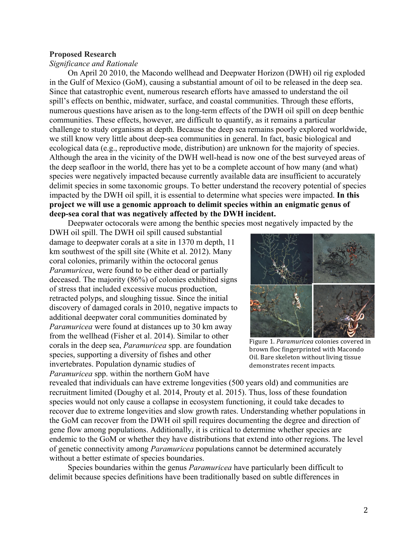#### **Proposed Research**

#### *Significance and Rationale*

On April 20 2010, the Macondo wellhead and Deepwater Horizon (DWH) oil rig exploded in the Gulf of Mexico (GoM), causing a substantial amount of oil to be released in the deep sea. Since that catastrophic event, numerous research efforts have amassed to understand the oil spill's effects on benthic, midwater, surface, and coastal communities. Through these efforts, numerous questions have arisen as to the long-term effects of the DWH oil spill on deep benthic communities. These effects, however, are difficult to quantify, as it remains a particular challenge to study organisms at depth. Because the deep sea remains poorly explored worldwide, we still know very little about deep-sea communities in general. In fact, basic biological and ecological data (e.g., reproductive mode, distribution) are unknown for the majority of species. Although the area in the vicinity of the DWH well-head is now one of the best surveyed areas of the deep seafloor in the world, there has yet to be a complete account of how many (and what) species were negatively impacted because currently available data are insufficient to accurately delimit species in some taxonomic groups. To better understand the recovery potential of species impacted by the DWH oil spill, it is essential to determine what species were impacted. **In this project we will use a genomic approach to delimit species within an enigmatic genus of deep-sea coral that was negatively affected by the DWH incident.** 

Deepwater octocorals were among the benthic species most negatively impacted by the

DWH oil spill. The DWH oil spill caused substantial damage to deepwater corals at a site in 1370 m depth, 11 km southwest of the spill site (White et al. 2012). Many coral colonies, primarily within the octocoral genus *Paramuricea*, were found to be either dead or partially deceased. The majority (86%) of colonies exhibited signs of stress that included excessive mucus production, retracted polyps, and sloughing tissue. Since the initial discovery of damaged corals in 2010, negative impacts to additional deepwater coral communities dominated by *Paramuricea* were found at distances up to 30 km away from the wellhead (Fisher et al. 2014). Similar to other corals in the deep sea, *Paramuricea* spp. are foundation species, supporting a diversity of fishes and other invertebrates. Population dynamic studies of *Paramuricea* spp. within the northern GoM have



Figure 1. *Paramuricea* colonies covered in brown floc fingerprinted with Macondo Oil. Bare skeleton without living tissue demonstrates recent impacts.

revealed that individuals can have extreme longevities (500 years old) and communities are recruitment limited (Doughy et al. 2014, Prouty et al. 2015). Thus, loss of these foundation species would not only cause a collapse in ecosystem functioning, it could take decades to recover due to extreme longevities and slow growth rates. Understanding whether populations in the GoM can recover from the DWH oil spill requires documenting the degree and direction of gene flow among populations. Additionally, it is critical to determine whether species are endemic to the GoM or whether they have distributions that extend into other regions. The level of genetic connectivity among *Paramuricea* populations cannot be determined accurately without a better estimate of species boundaries.

Species boundaries within the genus *Paramuricea* have particularly been difficult to delimit because species definitions have been traditionally based on subtle differences in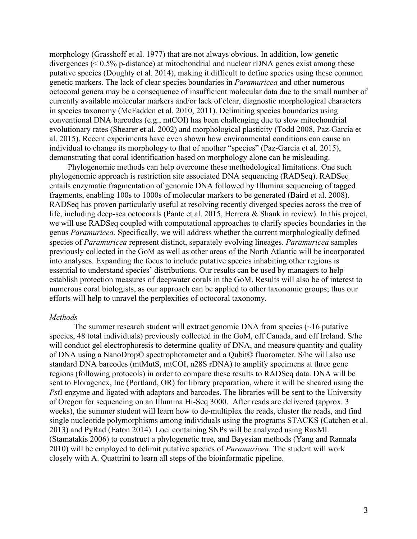morphology (Grasshoff et al. 1977) that are not always obvious. In addition, low genetic divergences (< 0.5% p-distance) at mitochondrial and nuclear rDNA genes exist among these putative species (Doughty et al. 2014), making it difficult to define species using these common genetic markers. The lack of clear species boundaries in *Paramuricea* and other numerous octocoral genera may be a consequence of insufficient molecular data due to the small number of currently available molecular markers and/or lack of clear, diagnostic morphological characters in species taxonomy (McFadden et al. 2010, 2011). Delimiting species boundaries using conventional DNA barcodes (e.g., mtCOI) has been challenging due to slow mitochondrial evolutionary rates (Shearer et al. 2002) and morphological plasticity (Todd 2008, Paz-Garcia et al. 2015). Recent experiments have even shown how environmental conditions can cause an individual to change its morphology to that of another "species" (Paz-Garcia et al. 2015), demonstrating that coral identification based on morphology alone can be misleading.

Phylogenomic methods can help overcome these methodological limitations. One such phylogenomic approach is restriction site associated DNA sequencing (RADSeq). RADSeq entails enzymatic fragmentation of genomic DNA followed by Illumina sequencing of tagged fragments, enabling 100s to 1000s of molecular markers to be generated (Baird et al. 2008). RADSeq has proven particularly useful at resolving recently diverged species across the tree of life, including deep-sea octocorals (Pante et al. 2015, Herrera & Shank in review). In this project, we will use RADSeq coupled with computational approaches to clarify species boundaries in the genus *Paramuricea.* Specifically, we will address whether the current morphologically defined species of *Paramuricea* represent distinct, separately evolving lineages. *Paramuricea* samples previously collected in the GoM as well as other areas of the North Atlantic will be incorporated into analyses. Expanding the focus to include putative species inhabiting other regions is essential to understand species' distributions. Our results can be used by managers to help establish protection measures of deepwater corals in the GoM. Results will also be of interest to numerous coral biologists, as our approach can be applied to other taxonomic groups; thus our efforts will help to unravel the perplexities of octocoral taxonomy.

#### *Methods*

The summer research student will extract genomic DNA from species  $(\sim 16$  putative species, 48 total individuals) previously collected in the GoM, off Canada, and off Ireland. S/he will conduct gel electrophoresis to determine quality of DNA, and measure quantity and quality of DNA using a NanoDrop© spectrophotometer and a Qubit© fluorometer. S/he will also use standard DNA barcodes (mtMutS, mtCOI, n28S rDNA) to amplify specimens at three gene regions (following protocols) in order to compare these results to RADSeq data. DNA will be sent to Floragenex, Inc (Portland, OR) for library preparation, where it will be sheared using the *Pst*I enzyme and ligated with adaptors and barcodes. The libraries will be sent to the University of Oregon for sequencing on an Illumina Hi-Seq 3000. After reads are delivered (approx. 3 weeks), the summer student will learn how to de-multiplex the reads, cluster the reads, and find single nucleotide polymorphisms among individuals using the programs STACKS (Catchen et al. 2013) and PyRad (Eaton 2014). Loci containing SNPs will be analyzed using RaxML (Stamatakis 2006) to construct a phylogenetic tree, and Bayesian methods (Yang and Rannala 2010) will be employed to delimit putative species of *Paramuricea.* The student will work closely with A. Quattrini to learn all steps of the bioinformatic pipeline.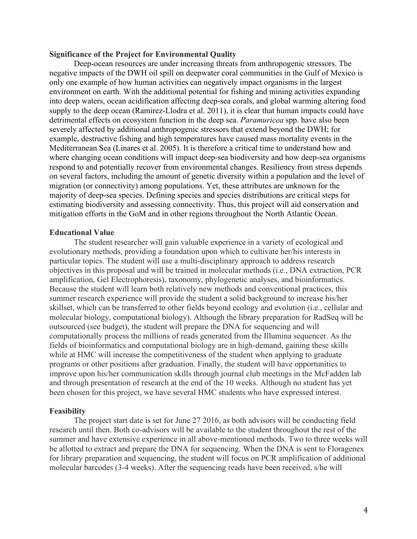### **Significance of the Project for Environmental Quality**

Deep-ocean resources are under increasing threats from anthropogenic stressors. The negative impacts of the DWH oil spill on deepwater coral communities in the Gulf of Mexico is only one example of how human activities can negatively impact organisms in the largest environment on earth. With the additional potential for fishing and mining activities expanding into deep waters, ocean acidification affecting deep-sea corals, and global warming altering food supply to the deep ocean (Ramirez-Llodra et al. 2011), it is clear that human impacts could have detrimental effects on ecosystem function in the deep sea. *Paramuricea* spp. have also been severely affected by additional anthropogenic stressors that extend beyond the DWH; for example, destructive fishing and high temperatures have caused mass mortality events in the Mediterranean Sea (Linares et al. 2005). It is therefore a critical time to understand how and where changing ocean conditions will impact deep-sea biodiversity and how deep-sea organisms respond to and potentially recover from environmental changes. Resiliency from stress depends on several factors, including the amount of genetic diversity within a population and the level of migration (or connectivity) among populations. Yet, these attributes are unknown for the majority of deep-sea species. Defining species and species distributions are critical steps for estimating biodiversity and assessing connectivity. Thus, this project will aid conservation and mitigation efforts in the GoM and in other regions throughout the North Atlantic Ocean.

### **Educational Value**

The student researcher will gain valuable experience in a variety of ecological and evolutionary methods, providing a foundation upon which to cultivate her/his interests in particular topics. The student will use a multi-disciplinary approach to address research objectives in this proposal and will be trained in molecular methods (i.e., DNA extraction, PCR amplification, Gel Electrophoresis), taxonomy, phylogenetic analyses, and bioinformatics. Because the student will learn both relatively new methods and conventional practices, this summer research experience will provide the student a solid background to increase his/her skillset, which can be transferred to other fields beyond ecology and evolution (i.e., cellular and molecular biology, computational biology). Although the library preparation for RadSeq will be outsourced (see budget), the student will prepare the DNA for sequencing and will computationally process the millions of reads generated from the Illumina sequencer. As the fields of bioinformatics and computational biology are in high-demand, gaining these skills while at HMC will increase the competitiveness of the student when applying to graduate programs or other positions after graduation. Finally, the student will have opportunities to improve upon his/her communication skills through journal club meetings in the McFadden lab and through presentation of research at the end of the 10 weeks. Although no student has yet been chosen for this project, we have several HMC students who have expressed interest.

#### **Feasibility**

The project start date is set for June 27 2016, as both advisors will be conducting field research until then. Both co-advisors will be available to the student throughout the rest of the summer and have extensive experience in all above-mentioned methods. Two to three weeks will be allotted to extract and prepare the DNA for sequencing. When the DNA is sent to Floragenex for library preparation and sequencing, the student will focus on PCR amplification of additional molecular barcodes (3-4 weeks). After the sequencing reads have been received, s/he will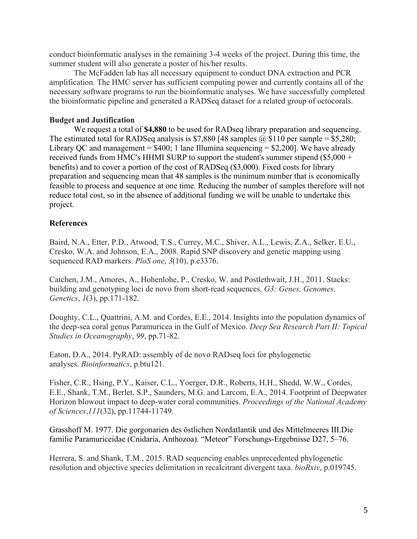conduct bioinformatic analyses in the remaining 3-4 weeks of the project. During this time, the summer student will also generate a poster of his/her results.

The McFadden lab has all necessary equipment to conduct DNA extraction and PCR amplification. The HMC server has sufficient computing power and currently contains all of the necessary software programs to run the bioinformatic analyses. We have successfully completed the bioinformatic pipeline and generated a RADSeq dataset for a related group of octocorals.

## **Budget and Justification**

We request a total of **\$4,880** to be used for RADseq library preparation and sequencing. The estimated total for RADSeq analysis is \$7,880 [48 samples  $\omega$ , \$110 per sample = \$5,280; Library QC and management =  $$400; 1$  lane Illumina sequencing =  $$2,200$ ]. We have already received funds from HMC's HHMI SURP to support the student's summer stipend (\$5,000 + benefits) and to cover a portion of the cost of RADSeq (\$3,000). Fixed costs for library preparation and sequencing mean that 48 samples is the minimum number that is economically feasible to process and sequence at one time. Reducing the number of samples therefore will not reduce total cost, so in the absence of additional funding we will be unable to undertake this project.

# **References**

Baird, N.A., Etter, P.D., Atwood, T.S., Currey, M.C., Shiver, A.L., Lewis, Z.A., Selker, E.U., Cresko, W.A. and Johnson, E.A., 2008. Rapid SNP discovery and genetic mapping using sequenced RAD markers. *PloS one*, *3*(10), p.e3376.

Catchen, J.M., Amores, A., Hohenlohe, P., Cresko, W. and Postlethwait, J.H., 2011. Stacks: building and genotyping loci de novo from short-read sequences. *G3: Genes, Genomes, Genetics*, *1*(3), pp.171-182.

Doughty, C.L., Quattrini, A.M. and Cordes, E.E., 2014. Insights into the population dynamics of the deep-sea coral genus Paramuricea in the Gulf of Mexico. *Deep Sea Research Part II: Topical Studies in Oceanography*, *99*, pp.71-82.

Eaton, D.A., 2014. PyRAD: assembly of de novo RADseq loci for phylogenetic analyses. *Bioinformatics*, p.btu121.

Fisher, C.R., Hsing, P.Y., Kaiser, C.L., Yoerger, D.R., Roberts, H.H., Shedd, W.W., Cordes, E.E., Shank, T.M., Berlet, S.P., Saunders, M.G. and Larcom, E.A., 2014. Footprint of Deepwater Horizon blowout impact to deep-water coral communities. *Proceedings of the National Academy of Sciences*,*111*(32), pp.11744-11749.

Grasshoff M. 1977. Die gorgonarien des östlichen Nordatlantik und des Mittelmeeres III.Die familie Paramuriceidae (Cnidaria, Anthozoa). "Meteor" Forschungs-Ergebnisse D27, 5–76.

Herrera, S. and Shank, T.M., 2015. RAD sequencing enables unprecedented phylogenetic resolution and objective species delimitation in recalcitrant divergent taxa. *bioRxiv*, p.019745.